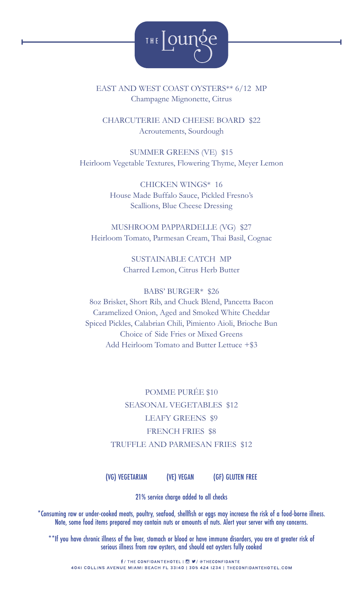

### EAST AND WEST COAST OYSTERS\*\* 6/12 MP Champagne Mignonette, Citrus

CHARCUTERIE AND CHEESE BOARD \$22 Acroutements, Sourdough

SUMMER GREENS (VE) \$15 Heirloom Vegetable Textures, Flowering Thyme, Meyer Lemon

> CHICKEN WINGS\* 16 House Made Buffalo Sauce, Pickled Fresno's Scallions, Blue Cheese Dressing

MUSHROOM PAPPARDELLE (VG) \$27 Heirloom Tomato, Parmesan Cream, Thai Basil, Cognac

> SUSTAINABLE CATCH MP Charred Lemon, Citrus Herb Butter

BABS' BURGER\* \$26 8oz Brisket, Short Rib, and Chuck Blend, Pancetta Bacon Caramelized Onion, Aged and Smoked White Cheddar Spiced Pickles, Calabrian Chili, Pimiento Aioli, Brioche Bun Choice of Side Fries or Mixed Greens Add Heirloom Tomato and Butter Lettuce +\$3

> POMME PURÉE \$10 SEASONAL VEGETABLES \$12 LEAFY GREENS \$9 FRENCH FRIES \$8 TRUFFLE AND PARMESAN FRIES \$12

(VG) VEGETARIAN (VE) VEGAN (GF) GLUTEN FREE

21% service charge added to all checks

\*Consuming raw or under-cooked meats, poultry, seafood, shellfish or eggs may increase the risk of a food-borne illness. Note, some food items prepared may contain nuts or amounts of nuts. Alert your server with any concerns.

\*\*If you have chronic illness of the liver, stomach or blood or have immune disorders, you are at greater risk of serious illness from raw oysters, and should eat oysters fully cooked